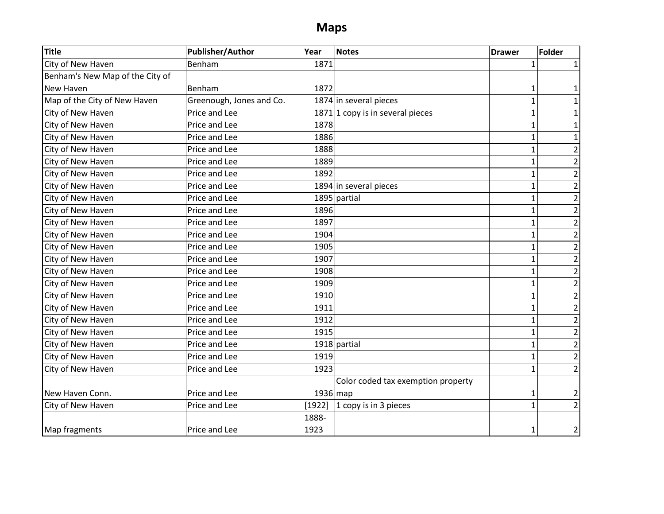## **Maps**

| <b>Title</b>                    | <b>Publisher/Author</b>  | Year   | <b>Notes</b>                       | <b>Drawer</b>  | <b>Folder</b>  |
|---------------------------------|--------------------------|--------|------------------------------------|----------------|----------------|
| City of New Haven               | Benham                   | 1871   |                                    | 1              |                |
| Benham's New Map of the City of |                          |        |                                    |                |                |
| New Haven                       | Benham                   | 1872   |                                    | 1              |                |
| Map of the City of New Haven    | Greenough, Jones and Co. |        | 1874 in several pieces             | $\overline{1}$ |                |
| City of New Haven               | Price and Lee            |        | $1871$ 1 copy is in several pieces | $\overline{1}$ |                |
| City of New Haven               | Price and Lee            | 1878   |                                    | $\mathbf{1}$   |                |
| City of New Haven               | Price and Lee            | 1886   |                                    | $\overline{1}$ |                |
| City of New Haven               | Price and Lee            | 1888   |                                    | $\overline{1}$ |                |
| City of New Haven               | Price and Lee            | 1889   |                                    | $\mathbf 1$    | 2              |
| City of New Haven               | Price and Lee            | 1892   |                                    | $\mathbf{1}$   | 2              |
| City of New Haven               | Price and Lee            |        | 1894 in several pieces             | $\overline{1}$ | 2              |
| City of New Haven               | Price and Lee            |        | $1895$ partial                     | $\mathbf{1}$   | 2              |
| City of New Haven               | Price and Lee            | 1896   |                                    | $\mathbf{1}$   | 2              |
| City of New Haven               | Price and Lee            | 1897   |                                    | $\overline{1}$ | 2              |
| City of New Haven               | Price and Lee            | 1904   |                                    | $\mathbf{1}$   | 2              |
| City of New Haven               | Price and Lee            | 1905   |                                    | $\mathbf{1}$   | 2              |
| City of New Haven               | Price and Lee            | 1907   |                                    | $\overline{1}$ |                |
| City of New Haven               | Price and Lee            | 1908   |                                    | $\mathbf{1}$   | 2              |
| City of New Haven               | Price and Lee            | 1909   |                                    | $\mathbf{1}$   | 2              |
| City of New Haven               | Price and Lee            | 1910   |                                    | $\overline{1}$ | 2              |
| City of New Haven               | Price and Lee            | 1911   |                                    | $\mathbf{1}$   | 2              |
| City of New Haven               | Price and Lee            | 1912   |                                    | $\overline{1}$ | 2              |
| City of New Haven               | Price and Lee            | 1915   |                                    | $\overline{1}$ | 2              |
| City of New Haven               | Price and Lee            |        | $1918$ partial                     | 1              | $\overline{2}$ |
| City of New Haven               | Price and Lee            | 1919   |                                    | $\mathbf{1}$   | $\overline{2}$ |
| City of New Haven               | Price and Lee            | 1923   |                                    | $\mathbf{1}$   | 2              |
|                                 |                          |        | Color coded tax exemption property |                |                |
| New Haven Conn.                 | Price and Lee            |        | $1936$ map                         | 1              | 2              |
| City of New Haven               | Price and Lee            | [1922] | 1 copy is in 3 pieces              | $\overline{1}$ | $\overline{2}$ |
|                                 |                          | 1888-  |                                    |                |                |
| Map fragments                   | Price and Lee            | 1923   |                                    | 1              | 2              |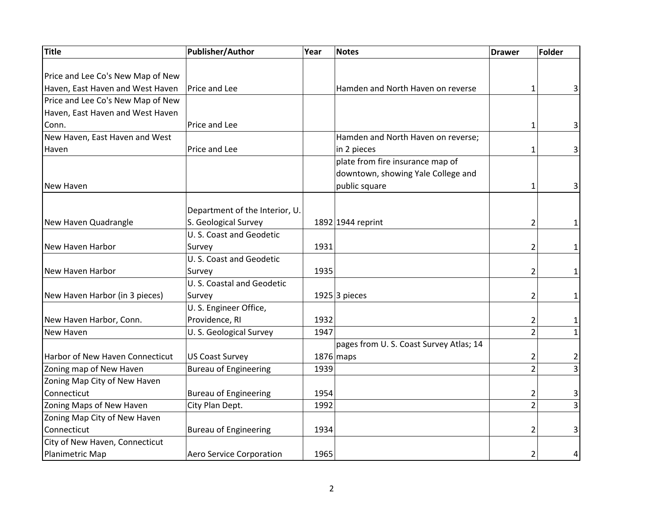| Title                                  | Publisher/Author               | Year | <b>Notes</b>                           | <b>Drawer</b>  | <b>Folder</b>           |
|----------------------------------------|--------------------------------|------|----------------------------------------|----------------|-------------------------|
|                                        |                                |      |                                        |                |                         |
| Price and Lee Co's New Map of New      |                                |      |                                        |                |                         |
| Haven, East Haven and West Haven       | Price and Lee                  |      | Hamden and North Haven on reverse      | 1              | 3                       |
| Price and Lee Co's New Map of New      |                                |      |                                        |                |                         |
| Haven, East Haven and West Haven       |                                |      |                                        |                |                         |
| Conn.                                  | Price and Lee                  |      |                                        | 1              | $\overline{\mathbf{3}}$ |
| New Haven, East Haven and West         |                                |      | Hamden and North Haven on reverse;     |                |                         |
| Haven                                  | Price and Lee                  |      | in 2 pieces                            | $\mathbf{1}$   | $\overline{3}$          |
|                                        |                                |      | plate from fire insurance map of       |                |                         |
|                                        |                                |      | downtown, showing Yale College and     |                |                         |
| New Haven                              |                                |      | public square                          | 1              | 3                       |
|                                        |                                |      |                                        |                |                         |
|                                        | Department of the Interior, U. |      |                                        |                |                         |
| New Haven Quadrangle                   | S. Geological Survey           |      | 1892 1944 reprint                      | 2              | 1                       |
|                                        | U. S. Coast and Geodetic       |      |                                        |                |                         |
| New Haven Harbor                       | Survey                         | 1931 |                                        | 2              | 1                       |
|                                        | U. S. Coast and Geodetic       |      |                                        |                |                         |
| New Haven Harbor                       | Survey                         | 1935 |                                        | $\overline{2}$ | 1                       |
|                                        | U. S. Coastal and Geodetic     |      |                                        |                |                         |
| New Haven Harbor (in 3 pieces)         | Survey                         |      | 1925 3 pieces                          | 2              | 1                       |
|                                        | U.S. Engineer Office,          |      |                                        |                |                         |
| New Haven Harbor, Conn.                | Providence, RI                 | 1932 |                                        | 2              | 1                       |
| New Haven                              | U. S. Geological Survey        | 1947 |                                        | $\overline{2}$ | $1\vert$                |
|                                        |                                |      | pages from U.S. Coast Survey Atlas; 14 |                |                         |
| <b>Harbor of New Haven Connecticut</b> | <b>US Coast Survey</b>         |      | $1876$ maps                            | 2              | 2                       |
| Zoning map of New Haven                | <b>Bureau of Engineering</b>   | 1939 |                                        | $\overline{2}$ | $\overline{3}$          |
| Zoning Map City of New Haven           |                                |      |                                        |                |                         |
| Connecticut                            | <b>Bureau of Engineering</b>   | 1954 |                                        | 2              | 3                       |
| Zoning Maps of New Haven               | City Plan Dept.                | 1992 |                                        | $\overline{2}$ | $\overline{3}$          |
| Zoning Map City of New Haven           |                                |      |                                        |                |                         |
| Connecticut                            | <b>Bureau of Engineering</b>   | 1934 |                                        | 2              | $\overline{\mathbf{3}}$ |
| City of New Haven, Connecticut         |                                |      |                                        |                |                         |
| Planimetric Map                        | Aero Service Corporation       | 1965 |                                        | 2              | 4                       |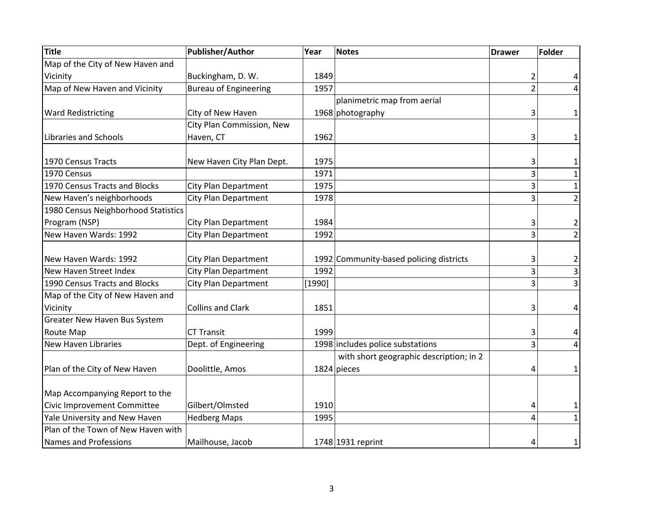| <b>Title</b>                        | Publisher/Author             | Year   | <b>Notes</b>                            | <b>Drawer</b>  | Folder                  |
|-------------------------------------|------------------------------|--------|-----------------------------------------|----------------|-------------------------|
| Map of the City of New Haven and    |                              |        |                                         |                |                         |
| Vicinity                            | Buckingham, D. W.            | 1849   |                                         | $\overline{2}$ |                         |
| Map of New Haven and Vicinity       | <b>Bureau of Engineering</b> | 1957   |                                         | $\overline{2}$ | 4                       |
|                                     |                              |        | planimetric map from aerial             |                |                         |
| <b>Ward Redistricting</b>           | City of New Haven            |        | 1968 photography                        | 3              | 1                       |
|                                     | City Plan Commission, New    |        |                                         |                |                         |
| Libraries and Schools               | Haven, CT                    | 1962   |                                         | 3              | 1                       |
|                                     |                              |        |                                         |                |                         |
| 1970 Census Tracts                  | New Haven City Plan Dept.    | 1975   |                                         | 3              | 1                       |
| 1970 Census                         |                              | 1971   |                                         | 3              | 1                       |
| 1970 Census Tracts and Blocks       | <b>City Plan Department</b>  | 1975   |                                         | 3              | 1                       |
| New Haven's neighborhoods           | <b>City Plan Department</b>  | 1978   |                                         | 3              | $\overline{2}$          |
| 1980 Census Neighborhood Statistics |                              |        |                                         |                |                         |
| Program (NSP)                       | <b>City Plan Department</b>  | 1984   |                                         | 3              | $\overline{2}$          |
| New Haven Wards: 1992               | <b>City Plan Department</b>  | 1992   |                                         | 3              | $\overline{2}$          |
|                                     |                              |        |                                         |                |                         |
| New Haven Wards: 1992               | <b>City Plan Department</b>  |        | 1992 Community-based policing districts | 3              | $\overline{\mathbf{c}}$ |
| New Haven Street Index              | <b>City Plan Department</b>  | 1992   |                                         | $\overline{3}$ | $\overline{3}$          |
| 1990 Census Tracts and Blocks       | <b>City Plan Department</b>  | [1990] |                                         | 3              | $\overline{3}$          |
| Map of the City of New Haven and    |                              |        |                                         |                |                         |
| Vicinity                            | <b>Collins and Clark</b>     | 1851   |                                         | 3              | 4                       |
| Greater New Haven Bus System        |                              |        |                                         |                |                         |
| Route Map                           | <b>CT Transit</b>            | 1999   |                                         | 3              | 4                       |
| <b>New Haven Libraries</b>          | Dept. of Engineering         |        | 1998 includes police substations        | 3              | $\overline{4}$          |
|                                     |                              |        | with short geographic description; in 2 |                |                         |
| Plan of the City of New Haven       | Doolittle, Amos              |        | 1824 pieces                             | 4              | 1                       |
|                                     |                              |        |                                         |                |                         |
| Map Accompanying Report to the      |                              |        |                                         |                |                         |
| Civic Improvement Committee         | Gilbert/Olmsted              | 1910   |                                         | 4              | 1                       |
| Yale University and New Haven       | <b>Hedberg Maps</b>          | 1995   |                                         | 4              | 1                       |
| Plan of the Town of New Haven with  |                              |        |                                         |                |                         |
| Names and Professions               | Mailhouse, Jacob             |        | 1748 1931 reprint                       | 4              | 1                       |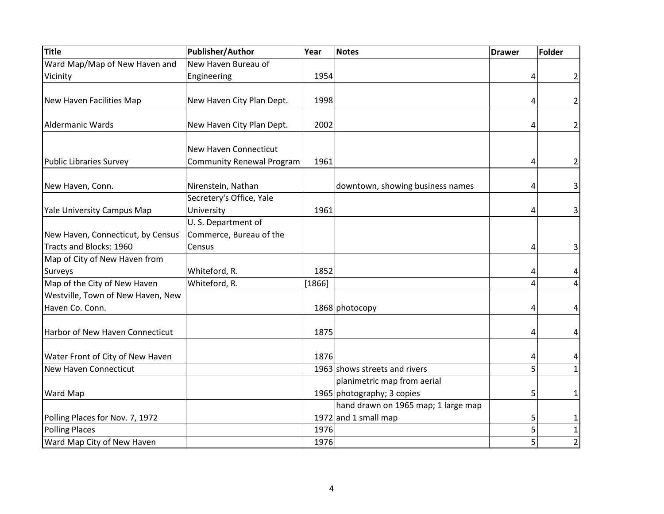| Title                             | Publisher/Author                 | Year   | <b>Notes</b>                        | <b>Drawer</b> | <b>Folder</b>           |
|-----------------------------------|----------------------------------|--------|-------------------------------------|---------------|-------------------------|
| Ward Map/Map of New Haven and     | New Haven Bureau of              |        |                                     |               |                         |
| Vicinity                          | Engineering                      | 1954   |                                     | 4             | $\overline{2}$          |
|                                   |                                  |        |                                     |               |                         |
| New Haven Facilities Map          | New Haven City Plan Dept.        | 1998   |                                     | 4             | $\overline{2}$          |
|                                   |                                  |        |                                     |               |                         |
| <b>Aldermanic Wards</b>           | New Haven City Plan Dept.        | 2002   |                                     | 4             | 2                       |
|                                   |                                  |        |                                     |               |                         |
|                                   | <b>New Haven Connecticut</b>     |        |                                     |               |                         |
| <b>Public Libraries Survey</b>    | <b>Community Renewal Program</b> | 1961   |                                     | 4             | 2                       |
|                                   |                                  |        |                                     |               |                         |
| New Haven, Conn.                  | Nirenstein, Nathan               |        | downtown, showing business names    | 4             | 3                       |
|                                   | Secretery's Office, Yale         |        |                                     |               |                         |
| Yale University Campus Map        | University                       | 1961   |                                     | 4             | $\overline{\mathbf{3}}$ |
|                                   | U.S. Department of               |        |                                     |               |                         |
| New Haven, Connecticut, by Census | Commerce, Bureau of the          |        |                                     |               |                         |
| Tracts and Blocks: 1960           | Census                           |        |                                     | 4             | $\overline{\mathbf{3}}$ |
| Map of City of New Haven from     |                                  |        |                                     |               |                         |
| Surveys                           | Whiteford, R.                    | 1852   |                                     | 4             | 4                       |
| Map of the City of New Haven      | Whiteford, R.                    | [1866] |                                     | 4             | $\vert 4 \vert$         |
| Westville, Town of New Haven, New |                                  |        |                                     |               |                         |
| Haven Co. Conn.                   |                                  |        | 1868 photocopy                      | 4             | 4                       |
|                                   |                                  |        |                                     |               |                         |
| Harbor of New Haven Connecticut   |                                  | 1875   |                                     | 4             | 4                       |
|                                   |                                  |        |                                     |               |                         |
| Water Front of City of New Haven  |                                  | 1876   |                                     | 4             | 4                       |
| <b>New Haven Connecticut</b>      |                                  |        | 1963 shows streets and rivers       | 5             | 1                       |
|                                   |                                  |        | planimetric map from aerial         |               |                         |
| Ward Map                          |                                  |        | 1965 photography; 3 copies          | 5             | 1                       |
|                                   |                                  |        | hand drawn on 1965 map; 1 large map |               |                         |
| Polling Places for Nov. 7, 1972   |                                  |        | 1972 and 1 small map                | 5             | 1                       |
| <b>Polling Places</b>             |                                  | 1976   |                                     | 5             | $\mathbf 1$             |
| Ward Map City of New Haven        |                                  | 1976   |                                     | 5             | $\overline{2}$          |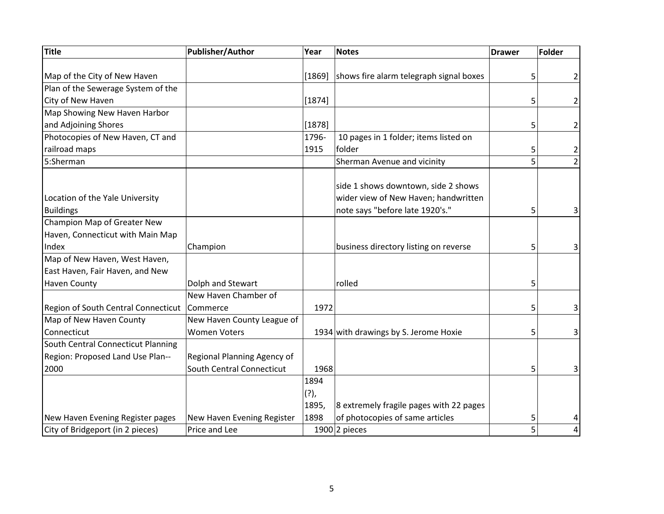| Title                               | <b>Publisher/Author</b>     | Year     | <b>Notes</b>                            | <b>Drawer</b> | <b>Folder</b>           |
|-------------------------------------|-----------------------------|----------|-----------------------------------------|---------------|-------------------------|
|                                     |                             |          |                                         |               |                         |
| Map of the City of New Haven        |                             | $[1869]$ | shows fire alarm telegraph signal boxes | 5             | 2                       |
| Plan of the Sewerage System of the  |                             |          |                                         |               |                         |
| City of New Haven                   |                             | $[1874]$ |                                         | 5             | 2                       |
| Map Showing New Haven Harbor        |                             |          |                                         |               |                         |
| and Adjoining Shores                |                             | [1878]   |                                         | 5             | 2                       |
| Photocopies of New Haven, CT and    |                             | 1796-    | 10 pages in 1 folder; items listed on   |               |                         |
| railroad maps                       |                             | 1915     | folder                                  | 5             | 2                       |
| 5:Sherman                           |                             |          | Sherman Avenue and vicinity             | 5             | $\overline{2}$          |
|                                     |                             |          | side 1 shows downtown, side 2 shows     |               |                         |
| Location of the Yale University     |                             |          | wider view of New Haven; handwritten    |               |                         |
| <b>Buildings</b>                    |                             |          | note says "before late 1920's."         | 5             | $\overline{\mathbf{3}}$ |
| Champion Map of Greater New         |                             |          |                                         |               |                         |
| Haven, Connecticut with Main Map    |                             |          |                                         |               |                         |
| Index                               | Champion                    |          | business directory listing on reverse   | 5             | 3                       |
| Map of New Haven, West Haven,       |                             |          |                                         |               |                         |
| East Haven, Fair Haven, and New     |                             |          |                                         |               |                         |
| <b>Haven County</b>                 | Dolph and Stewart           |          | rolled                                  | 5             |                         |
|                                     | New Haven Chamber of        |          |                                         |               |                         |
| Region of South Central Connecticut | Commerce                    | 1972     |                                         | 5             | $\overline{\mathbf{3}}$ |
| Map of New Haven County             | New Haven County League of  |          |                                         |               |                         |
| Connecticut                         | <b>Women Voters</b>         |          | 1934 with drawings by S. Jerome Hoxie   | 5             | $\overline{\mathbf{3}}$ |
| South Central Connecticut Planning  |                             |          |                                         |               |                         |
| Region: Proposed Land Use Plan--    | Regional Planning Agency of |          |                                         |               |                         |
| 2000                                | South Central Connecticut   | 1968     |                                         | 5             | $\overline{\mathbf{3}}$ |
|                                     |                             | 1894     |                                         |               |                         |
|                                     |                             | $(?)$ ,  |                                         |               |                         |
|                                     |                             | 1895,    | 8 extremely fragile pages with 22 pages |               |                         |
| New Haven Evening Register pages    | New Haven Evening Register  | 1898     | of photocopies of same articles         | 5             | 4                       |
| City of Bridgeport (in 2 pieces)    | Price and Lee               |          | $1900$ 2 pieces                         | 5             | $\vert 4 \vert$         |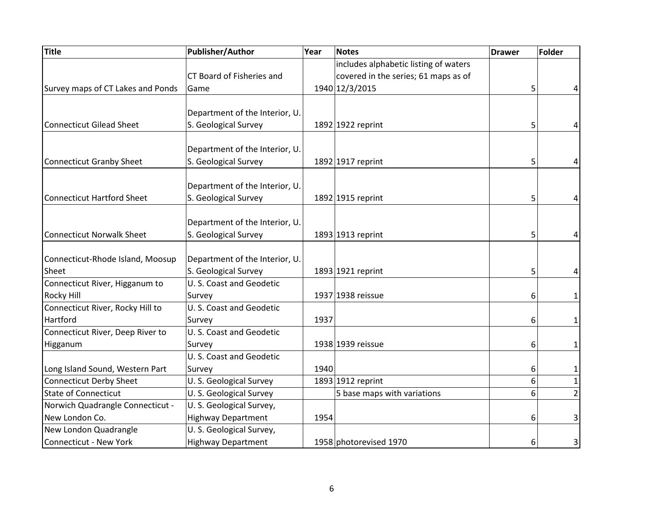| Title                             | <b>Publisher/Author</b>        | Year | <b>Notes</b>                          | <b>Drawer</b> | <b>Folder</b>  |
|-----------------------------------|--------------------------------|------|---------------------------------------|---------------|----------------|
|                                   |                                |      | includes alphabetic listing of waters |               |                |
|                                   | CT Board of Fisheries and      |      | covered in the series; 61 maps as of  |               |                |
| Survey maps of CT Lakes and Ponds | Game                           |      | 1940 12/3/2015                        | 5             | 4              |
|                                   |                                |      |                                       |               |                |
|                                   | Department of the Interior, U. |      |                                       |               |                |
| <b>Connecticut Gilead Sheet</b>   | S. Geological Survey           |      | 1892 1922 reprint                     | 5             | 4              |
|                                   |                                |      |                                       |               |                |
|                                   | Department of the Interior, U. |      |                                       |               |                |
| <b>Connecticut Granby Sheet</b>   | S. Geological Survey           |      | 1892 1917 reprint                     | 5             | 4              |
|                                   |                                |      |                                       |               |                |
|                                   | Department of the Interior, U. |      |                                       |               |                |
| Connecticut Hartford Sheet        | S. Geological Survey           |      | 1892 1915 reprint                     | 5             | 4              |
|                                   |                                |      |                                       |               |                |
|                                   | Department of the Interior, U. |      |                                       |               |                |
| <b>Connecticut Norwalk Sheet</b>  | S. Geological Survey           |      | 1893 1913 reprint                     | 5             | 4              |
|                                   |                                |      |                                       |               |                |
| Connecticut-Rhode Island, Moosup  | Department of the Interior, U. |      |                                       |               |                |
| Sheet                             | S. Geological Survey           |      | 1893 1921 reprint                     | 5             | 4              |
| Connecticut River, Higganum to    | U. S. Coast and Geodetic       |      |                                       |               |                |
| <b>Rocky Hill</b>                 | Survey                         |      | 1937 1938 reissue                     | 6             | 1              |
| Connecticut River, Rocky Hill to  | U. S. Coast and Geodetic       |      |                                       |               |                |
| Hartford                          | Survey                         | 1937 |                                       | 6             | 1              |
| Connecticut River, Deep River to  | U. S. Coast and Geodetic       |      |                                       |               |                |
| Higganum                          | Survey                         |      | 1938 1939 reissue                     | 6             | 1              |
|                                   | U.S. Coast and Geodetic        |      |                                       |               |                |
| Long Island Sound, Western Part   | Survey                         | 1940 |                                       | 6             | 1              |
| <b>Connecticut Derby Sheet</b>    | U.S. Geological Survey         |      | 1893 1912 reprint                     | 6             | $\mathbf 1$    |
| <b>State of Connecticut</b>       | U.S. Geological Survey         |      | 5 base maps with variations           | 6             | $\overline{2}$ |
| Norwich Quadrangle Connecticut -  | U.S. Geological Survey,        |      |                                       |               |                |
| New London Co.                    | <b>Highway Department</b>      | 1954 |                                       | 6             | 3              |
| New London Quadrangle             | U.S. Geological Survey,        |      |                                       |               |                |
| <b>Connecticut - New York</b>     | <b>Highway Department</b>      |      | 1958 photorevised 1970                | 6             | $\vert$        |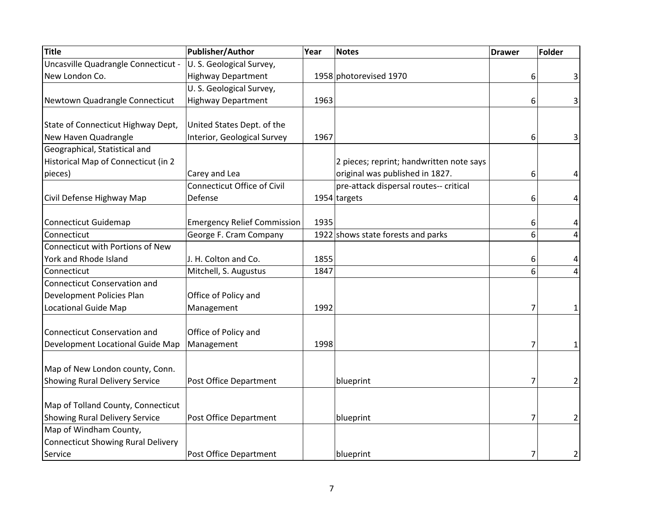| Title                                     | Publisher/Author                   | Year | <b>Notes</b>                             | <b>Drawer</b> | <b>Folder</b> |
|-------------------------------------------|------------------------------------|------|------------------------------------------|---------------|---------------|
| Uncasville Quadrangle Connecticut -       | U.S. Geological Survey,            |      |                                          |               |               |
| New London Co.                            | <b>Highway Department</b>          |      | 1958 photorevised 1970                   | 6             | 3             |
|                                           | U.S. Geological Survey,            |      |                                          |               |               |
| Newtown Quadrangle Connecticut            | <b>Highway Department</b>          | 1963 |                                          | 6             | 3             |
| State of Connecticut Highway Dept,        | United States Dept. of the         |      |                                          |               |               |
| New Haven Quadrangle                      | Interior, Geological Survey        | 1967 |                                          | 6             | 3             |
| Geographical, Statistical and             |                                    |      |                                          |               |               |
| Historical Map of Connecticut (in 2       |                                    |      | 2 pieces; reprint; handwritten note says |               |               |
| pieces)                                   | Carey and Lea                      |      | original was published in 1827.          | 6             | 4             |
|                                           | <b>Connecticut Office of Civil</b> |      | pre-attack dispersal routes-- critical   |               |               |
| Civil Defense Highway Map                 | Defense                            |      | 1954 targets                             | 6             | 4             |
|                                           |                                    |      |                                          |               |               |
| <b>Connecticut Guidemap</b>               | <b>Emergency Relief Commission</b> | 1935 |                                          | 6             | 4             |
| Connecticut                               | George F. Cram Company             |      | 1922 shows state forests and parks       | 6             | 4             |
| Connecticut with Portions of New          |                                    |      |                                          |               |               |
| York and Rhode Island                     | J. H. Colton and Co.               | 1855 |                                          | 6             | 4             |
| Connecticut                               | Mitchell, S. Augustus              | 1847 |                                          | 6             | 4             |
| <b>Connecticut Conservation and</b>       |                                    |      |                                          |               |               |
| Development Policies Plan                 | Office of Policy and               |      |                                          |               |               |
| <b>Locational Guide Map</b>               | Management                         | 1992 |                                          | 7             | 1             |
|                                           |                                    |      |                                          |               |               |
| <b>Connecticut Conservation and</b>       | Office of Policy and               |      |                                          |               |               |
| Development Locational Guide Map          | Management                         | 1998 |                                          | 7             | 1             |
| Map of New London county, Conn.           |                                    |      |                                          |               |               |
|                                           |                                    |      |                                          |               |               |
| <b>Showing Rural Delivery Service</b>     | Post Office Department             |      | blueprint                                | 7             | 2             |
| Map of Tolland County, Connecticut        |                                    |      |                                          |               |               |
| <b>Showing Rural Delivery Service</b>     | Post Office Department             |      | blueprint                                | 7             | 2             |
| Map of Windham County,                    |                                    |      |                                          |               |               |
| <b>Connecticut Showing Rural Delivery</b> |                                    |      |                                          |               |               |
| Service                                   | Post Office Department             |      | blueprint                                | 7             | 2             |